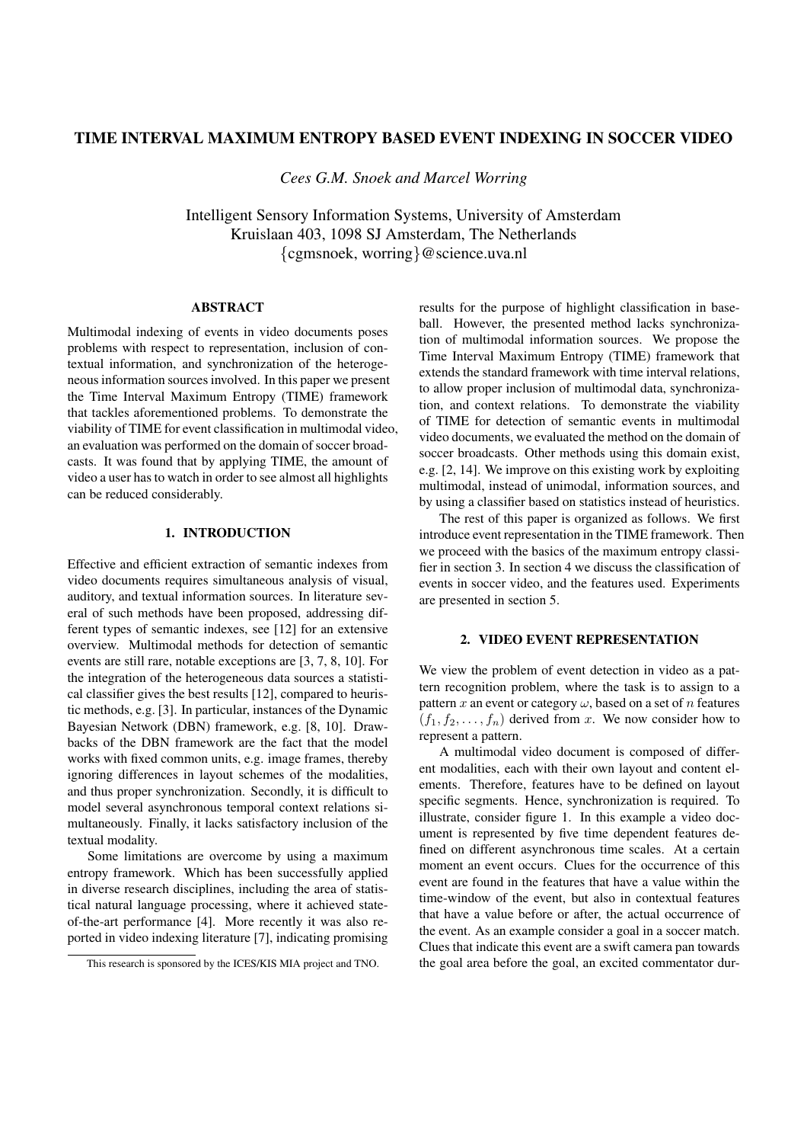# **TIME INTERVAL MAXIMUM ENTROPY BASED EVENT INDEXING IN SOCCER VIDEO**

*Cees G.M. Snoek and Marcel Worring*

Intelligent Sensory Information Systems, University of Amsterdam Kruislaan 403, 1098 SJ Amsterdam, The Netherlands {cgmsnoek, worring}@science.uva.nl

## **ABSTRACT**

Multimodal indexing of events in video documents poses problems with respect to representation, inclusion of contextual information, and synchronization of the heterogeneous information sources involved. In this paper we present the Time Interval Maximum Entropy (TIME) framework that tackles aforementioned problems. To demonstrate the viability of TIME for event classification in multimodal video, an evaluation was performed on the domain of soccer broadcasts. It was found that by applying TIME, the amount of video a user hasto watch in order to see almost all highlights can be reduced considerably.

# **1. INTRODUCTION**

Effective and efficient extraction of semantic indexes from video documents requires simultaneous analysis of visual, auditory, and textual information sources. In literature several of such methods have been proposed, addressing different types of semantic indexes, see [12] for an extensive overview. Multimodal methods for detection of semantic events are still rare, notable exceptions are [3, 7, 8, 10]. For the integration of the heterogeneous data sources a statistical classifier gives the best results [12], compared to heuristic methods, e.g. [3]. In particular, instances of the Dynamic Bayesian Network (DBN) framework, e.g. [8, 10]. Drawbacks of the DBN framework are the fact that the model works with fixed common units, e.g. image frames, thereby ignoring differences in layout schemes of the modalities, and thus proper synchronization. Secondly, it is difficult to model several asynchronous temporal context relations simultaneously. Finally, it lacks satisfactory inclusion of the textual modality.

Some limitations are overcome by using a maximum entropy framework. Which has been successfully applied in diverse research disciplines, including the area of statistical natural language processing, where it achieved stateof-the-art performance [4]. More recently it was also reported in video indexing literature [7], indicating promising results for the purpose of highlight classification in baseball. However, the presented method lacks synchronization of multimodal information sources. We propose the Time Interval Maximum Entropy (TIME) framework that extends the standard framework with time interval relations, to allow proper inclusion of multimodal data, synchronization, and context relations. To demonstrate the viability of TIME for detection of semantic events in multimodal video documents, we evaluated the method on the domain of soccer broadcasts. Other methods using this domain exist, e.g. [2, 14]. We improve on this existing work by exploiting multimodal, instead of unimodal, information sources, and by using a classifier based on statistics instead of heuristics.

The rest of this paper is organized as follows. We first introduce event representation in the TIME framework. Then we proceed with the basics of the maximum entropy classifier in section 3. In section 4 we discuss the classification of events in soccer video, and the features used. Experiments are presented in section 5.

### **2. VIDEO EVENT REPRESENTATION**

We view the problem of event detection in video as a pattern recognition problem, where the task is to assign to a pattern x an event or category  $\omega$ , based on a set of n features  $(f_1, f_2, \ldots, f_n)$  derived from x. We now consider how to represent a pattern.

A multimodal video document is composed of different modalities, each with their own layout and content elements. Therefore, features have to be defined on layout specific segments. Hence, synchronization is required. To illustrate, consider figure 1. In this example a video document is represented by five time dependent features defined on different asynchronous time scales. At a certain moment an event occurs. Clues for the occurrence of this event are found in the features that have a value within the time-window of the event, but also in contextual features that have a value before or after, the actual occurrence of the event. As an example consider a goal in a soccer match. Clues that indicate this event are a swift camera pan towards the goal area before the goal, an excited commentator dur-

This research is sponsored by the ICES/KIS MIA project and TNO.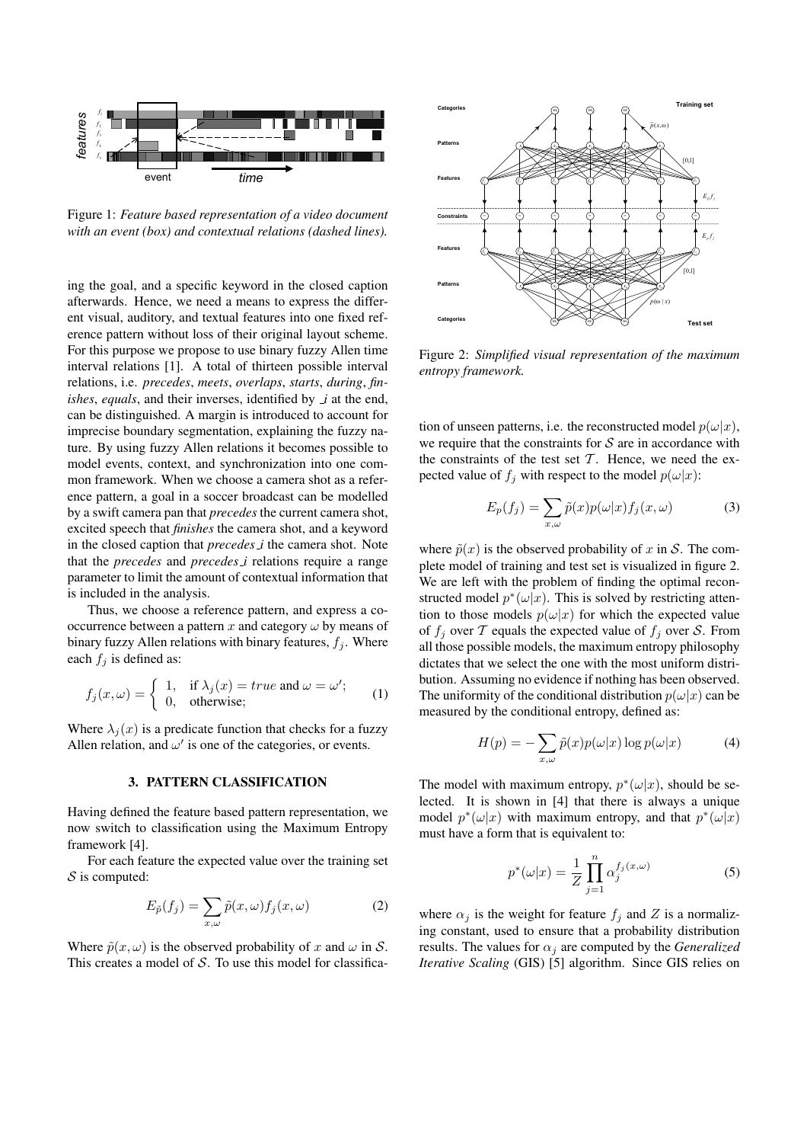

Figure 1: *Feature based representation of a video document with an event (box) and contextual relations (dashed lines).*

ing the goal, and a specific keyword in the closed caption afterwards. Hence, we need a means to express the different visual, auditory, and textual features into one fixed reference pattern without loss of their original layout scheme. For this purpose we propose to use binary fuzzy Allen time interval relations [1]. A total of thirteen possible interval relations, i.e. *precedes*, *meets*, *overlaps*, *starts*, *during*, *finishes*, *equals*, and their inverses, identified by *i* at the end, can be distinguished. A margin is introduced to account for imprecise boundary segmentation, explaining the fuzzy nature. By using fuzzy Allen relations it becomes possible to model events, context, and synchronization into one common framework. When we choose a camera shot as a reference pattern, a goal in a soccer broadcast can be modelled by a swift camera pan that *precedes* the current camera shot, excited speech that *finishes* the camera shot, and a keyword in the closed caption that *precedes i* the camera shot. Note that the *precedes* and *precedes i* relations require a range parameter to limit the amount of contextual information that is included in the analysis.

Thus, we choose a reference pattern, and express a cooccurrence between a pattern  $x$  and category  $\omega$  by means of binary fuzzy Allen relations with binary features,  $f_j$ . Where each  $f_i$  is defined as:

$$
f_j(x,\omega) = \begin{cases} 1, & \text{if } \lambda_j(x) = true \text{ and } \omega = \omega'; \\ 0, & \text{otherwise}; \end{cases}
$$
 (1)

Where  $\lambda_i(x)$  is a predicate function that checks for a fuzzy Allen relation, and  $\omega'$  is one of the categories, or events.

# **3. PATTERN CLASSIFICATION**

Having defined the feature based pattern representation, we now switch to classification using the Maximum Entropy framework [4].

For each feature the expected value over the training set  $S$  is computed:

$$
E_{\tilde{p}}(f_j) = \sum_{x,\omega} \tilde{p}(x,\omega) f_j(x,\omega)
$$
 (2)

Where  $\tilde{p}(x, \omega)$  is the observed probability of x and  $\omega$  in S. This creates a model of  $S$ . To use this model for classifica-



Figure 2: *Simplified visual representation of the maximum entropy framework.*

tion of unseen patterns, i.e. the reconstructed model  $p(\omega|x)$ , we require that the constraints for  $S$  are in accordance with the constraints of the test set  $T$ . Hence, we need the expected value of  $f_j$  with respect to the model  $p(\omega|x)$ :

$$
E_p(f_j) = \sum_{x,\omega} \tilde{p}(x)p(\omega|x)f_j(x,\omega)
$$
 (3)

where  $\tilde{p}(x)$  is the observed probability of x in S. The complete model of training and test set is visualized in figure 2. We are left with the problem of finding the optimal reconstructed model  $p^*(\omega|x)$ . This is solved by restricting attention to those models  $p(\omega|x)$  for which the expected value of  $f_i$  over  $\mathcal T$  equals the expected value of  $f_i$  over  $\mathcal S$ . From all those possible models, the maximum entropy philosophy dictates that we select the one with the most uniform distribution. Assuming no evidence if nothing has been observed. The uniformity of the conditional distribution  $p(\omega|x)$  can be measured by the conditional entropy, defined as:

$$
H(p) = -\sum_{x,\omega} \tilde{p}(x)p(\omega|x)\log p(\omega|x)
$$
 (4)

The model with maximum entropy,  $p^*(\omega|x)$ , should be selected. It is shown in [4] that there is always a unique model  $p^*(\omega|x)$  with maximum entropy, and that  $p^*(\omega|x)$ must have a form that is equivalent to:

$$
p^*(\omega|x) = \frac{1}{Z} \prod_{j=1}^n \alpha_j^{f_j(x,\omega)}
$$
(5)

where  $\alpha_j$  is the weight for feature  $f_j$  and Z is a normalizing constant, used to ensure that a probability distribution results. The values for  $\alpha_i$  are computed by the *Generalized Iterative Scaling* (GIS) [5] algorithm. Since GIS relies on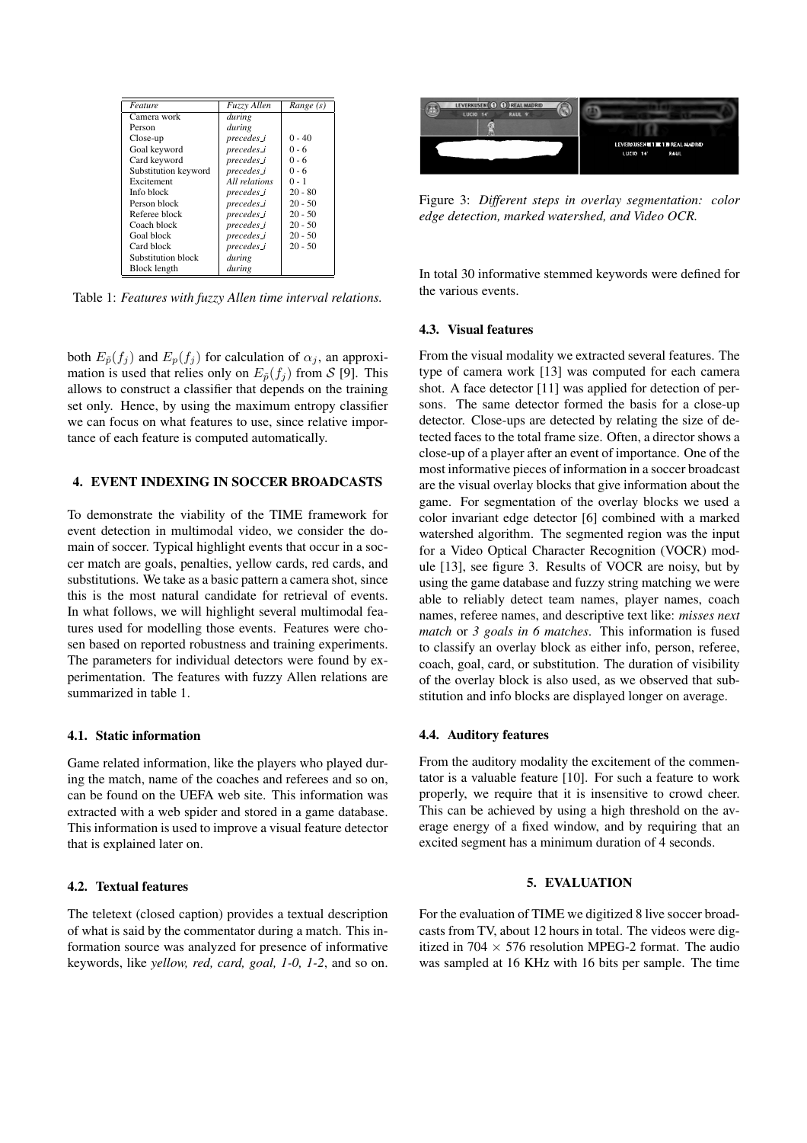| Feature              | Fuzzy Allen   | Range (s) |
|----------------------|---------------|-----------|
| Camera work          | during        |           |
| Person               | during        |           |
| Close-up             | precedes i    | $0 - 40$  |
| Goal keyword         | precedes i    | $0 - 6$   |
| Card keyword         | precedes i    | $0 - 6$   |
| Substitution keyword | precedes i    | $0 - 6$   |
| Excitement           | All relations | $0 - 1$   |
| Info block           | precedes_i    | $20 - 80$ |
| Person block         | precedes i    | $20 - 50$ |
| Referee block        | precedes i    | $20 - 50$ |
| Coach block          | precedes_i    | $20 - 50$ |
| Goal block           | precedes_i    | $20 - 50$ |
| Card block           | precedes i    | $20 - 50$ |
| Substitution block   | during        |           |
| Block length         | during        |           |

Table 1: *Features with fuzzy Allen time interval relations.*

both  $E_{\tilde{p}}(f_j)$  and  $E_p(f_j)$  for calculation of  $\alpha_j$ , an approximation is used that relies only on  $E_{\tilde{p}}(f_i)$  from S [9]. This allows to construct a classifier that depends on the training set only. Hence, by using the maximum entropy classifier we can focus on what features to use, since relative importance of each feature is computed automatically.

# **4. EVENT INDEXING IN SOCCER BROADCASTS**

To demonstrate the viability of the TIME framework for event detection in multimodal video, we consider the domain of soccer. Typical highlight events that occur in a soccer match are goals, penalties, yellow cards, red cards, and substitutions. We take as a basic pattern a camera shot, since this is the most natural candidate for retrieval of events. In what follows, we will highlight several multimodal features used for modelling those events. Features were chosen based on reported robustness and training experiments. The parameters for individual detectors were found by experimentation. The features with fuzzy Allen relations are summarized in table 1.

#### **4.1. Static information**

Game related information, like the players who played during the match, name of the coaches and referees and so on, can be found on the UEFA web site. This information was extracted with a web spider and stored in a game database. This information is used to improve a visual feature detector that is explained later on.

### **4.2. Textual features**

The teletext (closed caption) provides a textual description of what is said by the commentator during a match. This information source was analyzed for presence of informative keywords, like *yellow, red, card, goal, 1-0, 1-2*, and so on.



Figure 3: *Different steps in overlay segmentation: color edge detection, marked watershed, and Video OCR.*

In total 30 informative stemmed keywords were defined for the various events.

# **4.3. Visual features**

From the visual modality we extracted several features. The type of camera work [13] was computed for each camera shot. A face detector [11] was applied for detection of persons. The same detector formed the basis for a close-up detector. Close-ups are detected by relating the size of detected faces to the total frame size. Often, a director shows a close-up of a player after an event of importance. One of the most informative pieces of information in a soccer broadcast are the visual overlay blocks that give information about the game. For segmentation of the overlay blocks we used a color invariant edge detector [6] combined with a marked watershed algorithm. The segmented region was the input for a Video Optical Character Recognition (VOCR) module [13], see figure 3. Results of VOCR are noisy, but by using the game database and fuzzy string matching we were able to reliably detect team names, player names, coach names, referee names, and descriptive text like: *misses next match* or *3 goals in 6 matches*. This information is fused to classify an overlay block as either info, person, referee, coach, goal, card, or substitution. The duration of visibility of the overlay block is also used, as we observed that substitution and info blocks are displayed longer on average.

#### **4.4. Auditory features**

From the auditory modality the excitement of the commentator is a valuable feature [10]. For such a feature to work properly, we require that it is insensitive to crowd cheer. This can be achieved by using a high threshold on the average energy of a fixed window, and by requiring that an excited segment has a minimum duration of 4 seconds.

## **5. EVALUATION**

For the evaluation of TIME we digitized 8 live soccer broadcasts from TV, about 12 hours in total. The videos were digitized in 704  $\times$  576 resolution MPEG-2 format. The audio was sampled at 16 KHz with 16 bits per sample. The time